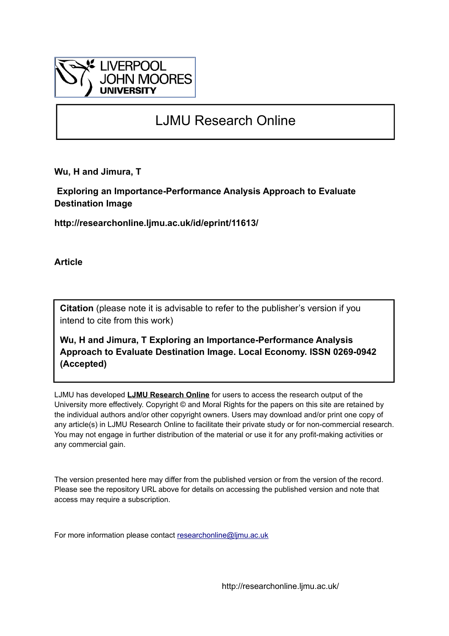

# LJMU Research Online

**Wu, H and Jimura, T**

 **Exploring an Importance-Performance Analysis Approach to Evaluate Destination Image**

**http://researchonline.ljmu.ac.uk/id/eprint/11613/**

**Article**

**Citation** (please note it is advisable to refer to the publisher's version if you intend to cite from this work)

**Wu, H and Jimura, T Exploring an Importance-Performance Analysis Approach to Evaluate Destination Image. Local Economy. ISSN 0269-0942 (Accepted)** 

LJMU has developed **[LJMU Research Online](http://researchonline.ljmu.ac.uk/)** for users to access the research output of the University more effectively. Copyright © and Moral Rights for the papers on this site are retained by the individual authors and/or other copyright owners. Users may download and/or print one copy of any article(s) in LJMU Research Online to facilitate their private study or for non-commercial research. You may not engage in further distribution of the material or use it for any profit-making activities or any commercial gain.

The version presented here may differ from the published version or from the version of the record. Please see the repository URL above for details on accessing the published version and note that access may require a subscription.

For more information please contact [researchonline@ljmu.ac.uk](mailto:researchonline@ljmu.ac.uk)

http://researchonline.ljmu.ac.uk/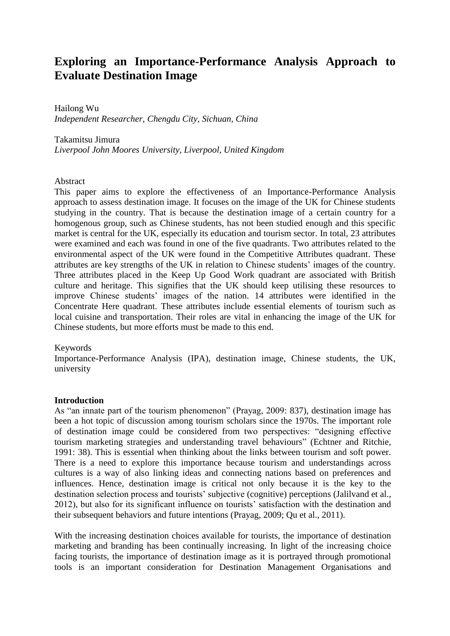# **Exploring an Importance-Performance Analysis Approach to Evaluate Destination Image**

Hailong Wu *Independent Researcher, Chengdu City, Sichuan, China*

Takamitsu Jimura *Liverpool John Moores University, Liverpool, United Kingdom*

#### Abstract

This paper aims to explore the effectiveness of an Importance-Performance Analysis approach to assess destination image. It focuses on the image of the UK for Chinese students studying in the country. That is because the destination image of a certain country for a homogenous group, such as Chinese students, has not been studied enough and this specific market is central for the UK, especially its education and tourism sector. In total, 23 attributes were examined and each was found in one of the five quadrants. Two attributes related to the environmental aspect of the UK were found in the Competitive Attributes quadrant. These attributes are key strengths of the UK in relation to Chinese students' images of the country. Three attributes placed in the Keep Up Good Work quadrant are associated with British culture and heritage. This signifies that the UK should keep utilising these resources to improve Chinese students' images of the nation. 14 attributes were identified in the Concentrate Here quadrant. These attributes include essential elements of tourism such as local cuisine and transportation. Their roles are vital in enhancing the image of the UK for Chinese students, but more efforts must be made to this end.

#### Keywords

Importance-Performance Analysis (IPA), destination image, Chinese students, the UK, university

#### **Introduction**

As "an innate part of the tourism phenomenon" (Prayag, 2009: 837), destination image has been a hot topic of discussion among tourism scholars since the 1970s. The important role of destination image could be considered from two perspectives: "designing effective tourism marketing strategies and understanding travel behaviours" (Echtner and Ritchie, 1991: 38). This is essential when thinking about the links between tourism and soft power. There is a need to explore this importance because tourism and understandings across cultures is a way of also linking ideas and connecting nations based on preferences and influences. Hence, destination image is critical not only because it is the key to the destination selection process and tourists' subjective (cognitive) perceptions (Jalilvand et al., 2012), but also for its significant influence on tourists' satisfaction with the destination and their subsequent behaviors and future intentions (Prayag, 2009; Qu et al., 2011).

With the increasing destination choices available for tourists, the importance of destination marketing and branding has been continually increasing. In light of the increasing choice facing tourists, the importance of destination image as it is portrayed through promotional tools is an important consideration for Destination Management Organisations and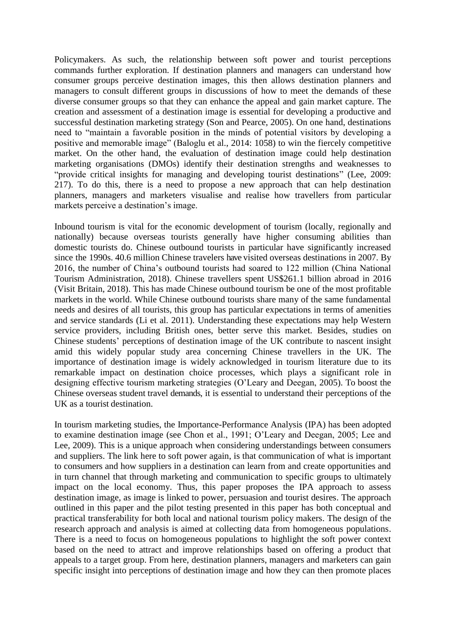Policymakers. As such, the relationship between soft power and tourist perceptions commands further exploration. If destination planners and managers can understand how consumer groups perceive destination images, this then allows destination planners and managers to consult different groups in discussions of how to meet the demands of these diverse consumer groups so that they can enhance the appeal and gain market capture. The creation and assessment of a destination image is essential for developing a productive and successful destination marketing strategy (Son and Pearce, 2005). On one hand, destinations need to "maintain a favorable position in the minds of potential visitors by developing a positive and memorable image" (Baloglu et al., 2014: 1058) to win the fiercely competitive market. On the other hand, the evaluation of destination image could help destination marketing organisations (DMOs) identify their destination strengths and weaknesses to "provide critical insights for managing and developing tourist destinations" (Lee, 2009: 217). To do this, there is a need to propose a new approach that can help destination planners, managers and marketers visualise and realise how travellers from particular markets perceive a destination's image.

Inbound tourism is vital for the economic development of tourism (locally, regionally and nationally) because overseas tourists generally have higher consuming abilities than domestic tourists do. Chinese outbound tourists in particular have significantly increased since the 1990s. 40.6 million Chinese travelers have visited overseas destinations in 2007. By 2016, the number of China's outbound tourists had soared to 122 million (China National Tourism Administration, 2018). Chinese travellers spent US\$261.1 billion abroad in 2016 (Visit Britain, 2018). This has made Chinese outbound tourism be one of the most profitable markets in the world. While Chinese outbound tourists share many of the same fundamental needs and desires of all tourists, this group has particular expectations in terms of amenities and service standards (Li et al. 2011). Understanding these expectations may help Western service providers, including British ones, better serve this market. Besides, studies on Chinese students' perceptions of destination image of the UK contribute to nascent insight amid this widely popular study area concerning Chinese travellers in the UK. The importance of destination image is widely acknowledged in tourism literature due to its remarkable impact on destination choice processes, which plays a significant role in designing effective tourism marketing strategies (O'Leary and Deegan, 2005). To boost the Chinese overseas student travel demands, it is essential to understand their perceptions of the UK as a tourist destination.

In tourism marketing studies, the Importance-Performance Analysis (IPA) has been adopted to examine destination image (see Chon et al., 1991; O'Leary and Deegan, 2005; Lee and Lee, 2009). This is a unique approach when considering understandings between consumers and suppliers. The link here to soft power again, is that communication of what is important to consumers and how suppliers in a destination can learn from and create opportunities and in turn channel that through marketing and communication to specific groups to ultimately impact on the local economy. Thus, this paper proposes the IPA approach to assess destination image, as image is linked to power, persuasion and tourist desires. The approach outlined in this paper and the pilot testing presented in this paper has both conceptual and practical transferability for both local and national tourism policy makers. The design of the research approach and analysis is aimed at collecting data from homogeneous populations. There is a need to focus on homogeneous populations to highlight the soft power context based on the need to attract and improve relationships based on offering a product that appeals to a target group. From here, destination planners, managers and marketers can gain specific insight into perceptions of destination image and how they can then promote places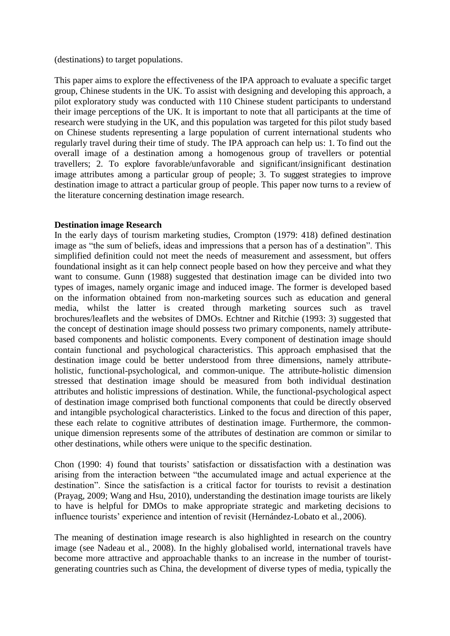(destinations) to target populations.

This paper aims to explore the effectiveness of the IPA approach to evaluate a specific target group, Chinese students in the UK. To assist with designing and developing this approach, a pilot exploratory study was conducted with 110 Chinese student participants to understand their image perceptions of the UK. It is important to note that all participants at the time of research were studying in the UK, and this population was targeted for this pilot study based on Chinese students representing a large population of current international students who regularly travel during their time of study. The IPA approach can help us: 1. To find out the overall image of a destination among a homogenous group of travellers or potential travellers; 2. To explore favorable/unfavorable and significant/insignificant destination image attributes among a particular group of people; 3. To suggest strategies to improve destination image to attract a particular group of people. This paper now turns to a review of the literature concerning destination image research.

# **Destination image Research**

In the early days of tourism marketing studies, Crompton (1979: 418) defined destination image as "the sum of beliefs, ideas and impressions that a person has of a destination". This simplified definition could not meet the needs of measurement and assessment, but offers foundational insight as it can help connect people based on how they perceive and what they want to consume. Gunn (1988) suggested that destination image can be divided into two types of images, namely organic image and induced image. The former is developed based on the information obtained from non-marketing sources such as education and general media, whilst the latter is created through marketing sources such as travel brochures/leaflets and the websites of DMOs. Echtner and Ritchie (1993: 3) suggested that the concept of destination image should possess two primary components, namely attributebased components and holistic components. Every component of destination image should contain functional and psychological characteristics. This approach emphasised that the destination image could be better understood from three dimensions, namely attributeholistic, functional-psychological, and common-unique. The attribute-holistic dimension stressed that destination image should be measured from both individual destination attributes and holistic impressions of destination. While, the functional-psychological aspect of destination image comprised both functional components that could be directly observed and intangible psychological characteristics. Linked to the focus and direction of this paper, these each relate to cognitive attributes of destination image. Furthermore, the commonunique dimension represents some of the attributes of destination are common or similar to other destinations, while others were unique to the specific destination.

Chon (1990: 4) found that tourists' satisfaction or dissatisfaction with a destination was arising from the interaction between "the accumulated image and actual experience at the destination". Since the satisfaction is a critical factor for tourists to revisit a destination (Prayag, 2009; Wang and Hsu, 2010), understanding the destination image tourists are likely to have is helpful for DMOs to make appropriate strategic and marketing decisions to influence tourists' experience and intention of revisit (Hernández-Lobato et al., 2006).

The meaning of destination image research is also highlighted in research on the country image (see Nadeau et al., 2008). In the highly globalised world, international travels have become more attractive and approachable thanks to an increase in the number of touristgenerating countries such as China, the development of diverse types of media, typically the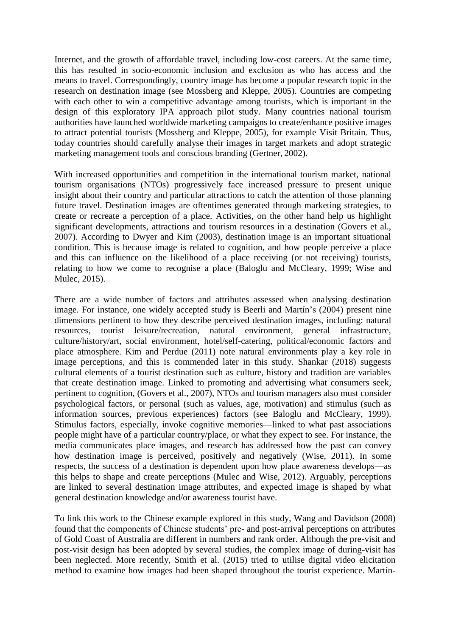Internet, and the growth of affordable travel, including low-cost careers. At the same time, this has resulted in socio-economic inclusion and exclusion as who has access and the means to travel. Correspondingly, country image has become a popular research topic in the research on destination image (see Mossberg and Kleppe, 2005). Countries are competing with each other to win a competitive advantage among tourists, which is important in the design of this exploratory IPA approach pilot study. Many countries national tourism authorities have launched worldwide marketing campaigns to create/enhance positive images to attract potential tourists (Mossberg and Kleppe, 2005), for example Visit Britain. Thus, today countries should carefully analyse their images in target markets and adopt strategic marketing management tools and conscious branding (Gertner, 2002).

With increased opportunities and competition in the international tourism market, national tourism organisations (NTOs) progressively face increased pressure to present unique insight about their country and particular attractions to catch the attention of those planning future travel. Destination images are oftentimes generated through marketing strategies, to create or recreate a perception of a place. Activities, on the other hand help us highlight significant developments, attractions and tourism resources in a destination (Govers et al., 2007). According to Dwyer and Kim (2003), destination image is an important situational condition. This is because image is related to cognition, and how people perceive a place and this can influence on the likelihood of a place receiving (or not receiving) tourists, relating to how we come to recognise a place (Baloglu and McCleary, 1999; Wise and Mulec, 2015).

There are a wide number of factors and attributes assessed when analysing destination image. For instance, one widely accepted study is Beerli and Martín's (2004) present nine dimensions pertinent to how they describe perceived destination images, including: natural resources, tourist leisure/recreation, natural environment, general infrastructure, culture/history/art, social environment, hotel/self-catering, political/economic factors and place atmosphere. Kim and Perdue (2011) note natural environments play a key role in image perceptions, and this is commended later in this study. Shankar (2018) suggests cultural elements of a tourist destination such as culture, history and tradition are variables that create destination image. Linked to promoting and advertising what consumers seek, pertinent to cognition, (Govers et al., 2007), NTOs and tourism managers also must consider psychological factors, or personal (such as values, age, motivation) and stimulus (such as information sources, previous experiences) factors (see Baloglu and McCleary, 1999). Stimulus factors, especially, invoke cognitive memories—linked to what past associations people might have of a particular country/place, or what they expect to see. For instance, the media communicates place images, and research has addressed how the past can convey how destination image is perceived, positively and negatively (Wise, 2011). In some respects, the success of a destination is dependent upon how place awareness develops—as this helps to shape and create perceptions (Mulec and Wise, 2012). Arguably, perceptions are linked to several destination image attributes, and expected image is shaped by what general destination knowledge and/or awareness tourist have.

To link this work to the Chinese example explored in this study, Wang and Davidson (2008) found that the components of Chinese students' pre- and post-arrival perceptions on attributes of Gold Coast of Australia are different in numbers and rank order. Although the pre-visit and post-visit design has been adopted by several studies, the complex image of during-visit has been neglected. More recently, Smith et al. (2015) tried to utilise digital video elicitation method to examine how images had been shaped throughout the tourist experience. Martín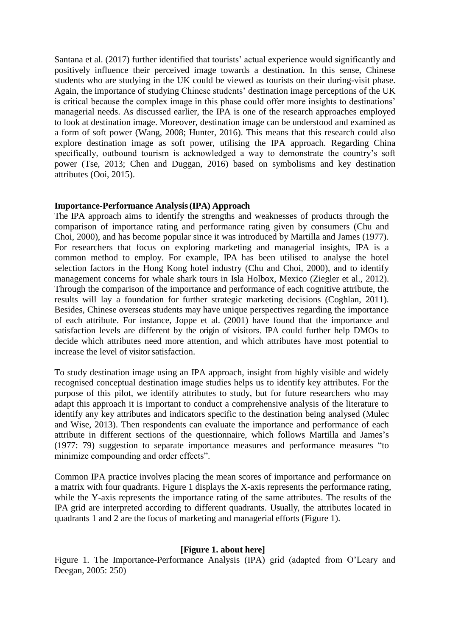Santana et al. (2017) further identified that tourists' actual experience would significantly and positively influence their perceived image towards a destination. In this sense, Chinese students who are studying in the UK could be viewed as tourists on their during-visit phase. Again, the importance of studying Chinese students' destination image perceptions of the UK is critical because the complex image in this phase could offer more insights to destinations' managerial needs. As discussed earlier, the IPA is one of the research approaches employed to look at destination image. Moreover, destination image can be understood and examined as a form of soft power (Wang, 2008; Hunter, 2016). This means that this research could also explore destination image as soft power, utilising the IPA approach. Regarding China specifically, outbound tourism is acknowledged a way to demonstrate the country's soft power (Tse, 2013; Chen and Duggan, 2016) based on symbolisms and key destination attributes (Ooi, 2015).

# **Importance-Performance Analysis(IPA) Approach**

The IPA approach aims to identify the strengths and weaknesses of products through the comparison of importance rating and performance rating given by consumers (Chu and Choi, 2000), and has become popular since it was introduced by Martilla and James (1977). For researchers that focus on exploring marketing and managerial insights, IPA is a common method to employ. For example, IPA has been utilised to analyse the hotel selection factors in the Hong Kong hotel industry (Chu and Choi, 2000), and to identify management concerns for whale shark tours in Isla Holbox, Mexico (Ziegler et al., 2012). Through the comparison of the importance and performance of each cognitive attribute, the results will lay a foundation for further strategic marketing decisions (Coghlan, 2011). Besides, Chinese overseas students may have unique perspectives regarding the importance of each attribute. For instance, Joppe et al. (2001) have found that the importance and satisfaction levels are different by the origin of visitors. IPA could further help DMOs to decide which attributes need more attention, and which attributes have most potential to increase the level of visitor satisfaction.

To study destination image using an IPA approach, insight from highly visible and widely recognised conceptual destination image studies helps us to identify key attributes. For the purpose of this pilot, we identify attributes to study, but for future researchers who may adapt this approach it is important to conduct a comprehensive analysis of the literature to identify any key attributes and indicators specific to the destination being analysed (Mulec and Wise, 2013). Then respondents can evaluate the importance and performance of each attribute in different sections of the questionnaire, which follows Martilla and James's (1977: 79) suggestion to separate importance measures and performance measures "to minimize compounding and order effects".

Common IPA practice involves placing the mean scores of importance and performance on a matrix with four quadrants. Figure 1 displays the X-axis represents the performance rating, while the Y-axis represents the importance rating of the same attributes. The results of the IPA grid are interpreted according to different quadrants. Usually, the attributes located in quadrants 1 and 2 are the focus of marketing and managerial efforts (Figure 1).

# **[Figure 1. about here]**

Figure 1. The Importance-Performance Analysis (IPA) grid (adapted from O'Leary and Deegan, 2005: 250)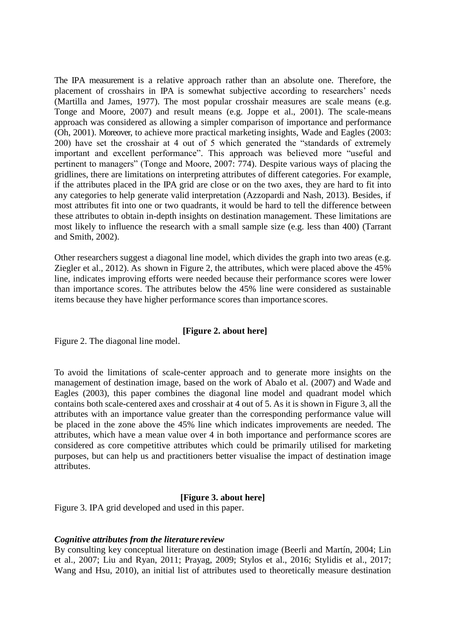The IPA measurement is a relative approach rather than an absolute one. Therefore, the placement of crosshairs in IPA is somewhat subjective according to researchers' needs (Martilla and James, 1977). The most popular crosshair measures are scale means (e.g. Tonge and Moore, 2007) and result means (e.g. Joppe et al., 2001). The scale-means approach was considered as allowing a simpler comparison of importance and performance (Oh, 2001). Moreover, to achieve more practical marketing insights, Wade and Eagles (2003: 200) have set the crosshair at 4 out of 5 which generated the "standards of extremely important and excellent performance". This approach was believed more "useful and pertinent to managers" (Tonge and Moore, 2007: 774). Despite various ways of placing the gridlines, there are limitations on interpreting attributes of different categories. For example, if the attributes placed in the IPA grid are close or on the two axes, they are hard to fit into any categories to help generate valid interpretation (Azzopardi and Nash, 2013). Besides, if most attributes fit into one or two quadrants, it would be hard to tell the difference between these attributes to obtain in-depth insights on destination management. These limitations are most likely to influence the research with a small sample size (e.g. less than 400) (Tarrant and Smith, 2002).

Other researchers suggest a diagonal line model, which divides the graph into two areas (e.g. Ziegler et al., 2012). As shown in Figure 2, the attributes, which were placed above the 45% line, indicates improving efforts were needed because their performance scores were lower than importance scores. The attributes below the 45% line were considered as sustainable items because they have higher performance scores than importance scores.

# **[Figure 2. about here]**

Figure 2. The diagonal line model.

To avoid the limitations of scale-center approach and to generate more insights on the management of destination image, based on the work of Abalo et al. (2007) and Wade and Eagles (2003), this paper combines the diagonal line model and quadrant model which contains both scale-centered axes and crosshair at 4 out of 5. As it is shown in Figure 3, all the attributes with an importance value greater than the corresponding performance value will be placed in the zone above the 45% line which indicates improvements are needed. The attributes, which have a mean value over 4 in both importance and performance scores are considered as core competitive attributes which could be primarily utilised for marketing purposes, but can help us and practitioners better visualise the impact of destination image attributes.

#### **[Figure 3. about here]**

Figure 3. IPA grid developed and used in this paper.

#### *Cognitive attributes from the literature review*

By consulting key conceptual literature on destination image (Beerli and Martín, 2004; Lin et al., 2007; Liu and Ryan, 2011; Prayag, 2009; Stylos et al., 2016; Stylidis et al., 2017; Wang and Hsu, 2010), an initial list of attributes used to theoretically measure destination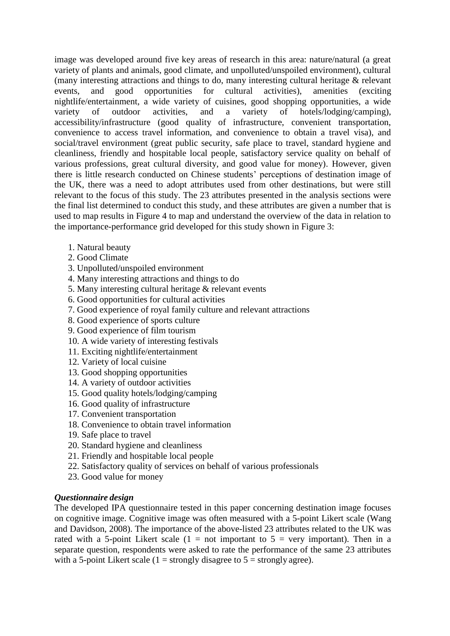image was developed around five key areas of research in this area: nature/natural (a great variety of plants and animals, good climate, and unpolluted/unspoiled environment), cultural (many interesting attractions and things to do, many interesting cultural heritage & relevant events, and good opportunities for cultural activities), amenities (exciting nightlife/entertainment, a wide variety of cuisines, good shopping opportunities, a wide variety of outdoor activities, and a variety of hotels/lodging/camping), accessibility/infrastructure (good quality of infrastructure, convenient transportation, convenience to access travel information, and convenience to obtain a travel visa), and social/travel environment (great public security, safe place to travel, standard hygiene and cleanliness, friendly and hospitable local people, satisfactory service quality on behalf of various professions, great cultural diversity, and good value for money). However, given there is little research conducted on Chinese students' perceptions of destination image of the UK, there was a need to adopt attributes used from other destinations, but were still relevant to the focus of this study. The 23 attributes presented in the analysis sections were the final list determined to conduct this study, and these attributes are given a number that is used to map results in Figure 4 to map and understand the overview of the data in relation to the importance-performance grid developed for this study shown in Figure 3:

- 1. Natural beauty
- 2. Good Climate
- 3. Unpolluted/unspoiled environment
- 4. Many interesting attractions and things to do
- 5. Many interesting cultural heritage & relevant events
- 6. Good opportunities for cultural activities
- 7. Good experience of royal family culture and relevant attractions
- 8. Good experience of sports culture
- 9. Good experience of film tourism
- 10. A wide variety of interesting festivals
- 11. Exciting nightlife/entertainment
- 12. Variety of local cuisine
- 13. Good shopping opportunities
- 14. A variety of outdoor activities
- 15. Good quality hotels/lodging/camping
- 16. Good quality of infrastructure
- 17. Convenient transportation
- 18. Convenience to obtain travel information
- 19. Safe place to travel
- 20. Standard hygiene and cleanliness
- 21. Friendly and hospitable local people
- 22. Satisfactory quality of services on behalf of various professionals
- 23. Good value for money

# *Questionnaire design*

The developed IPA questionnaire tested in this paper concerning destination image focuses on cognitive image. Cognitive image was often measured with a 5-point Likert scale (Wang and Davidson, 2008). The importance of the above-listed 23 attributes related to the UK was rated with a 5-point Likert scale  $(1 = not important to 5 = very important)$ . Then in a separate question, respondents were asked to rate the performance of the same 23 attributes with a 5-point Likert scale (1 = strongly disagree to  $5$  = strongly agree).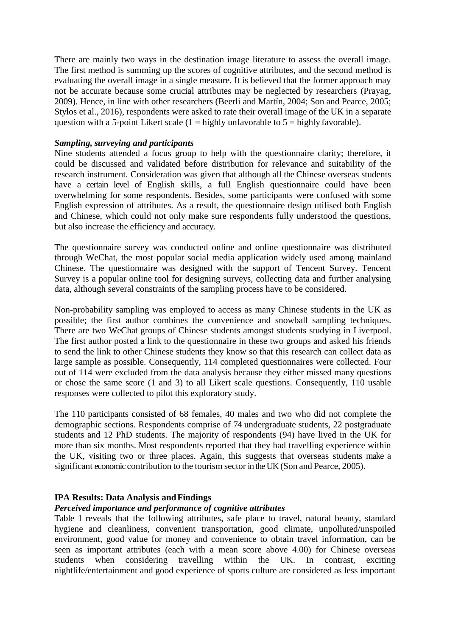There are mainly two ways in the destination image literature to assess the overall image. The first method is summing up the scores of cognitive attributes, and the second method is evaluating the overall image in a single measure. It is believed that the former approach may not be accurate because some crucial attributes may be neglected by researchers (Prayag, 2009). Hence, in line with other researchers (Beerli and Martín, 2004; Son and Pearce, 2005; Stylos et al., 2016), respondents were asked to rate their overall image of the UK in a separate question with a 5-point Likert scale  $(1 - \text{highly unfavorable to } 5 - \text{highly favorable})$ .

# *Sampling, surveying and participants*

Nine students attended a focus group to help with the questionnaire clarity; therefore, it could be discussed and validated before distribution for relevance and suitability of the research instrument. Consideration was given that although all the Chinese overseas students have a certain level of English skills, a full English questionnaire could have been overwhelming for some respondents. Besides, some participants were confused with some English expression of attributes. As a result, the questionnaire design utilised both English and Chinese, which could not only make sure respondents fully understood the questions, but also increase the efficiency and accuracy.

The questionnaire survey was conducted online and online questionnaire was distributed through WeChat, the most popular social media application widely used among mainland Chinese. The questionnaire was designed with the support of Tencent Survey. Tencent Survey is a popular online tool for designing surveys, collecting data and further analysing data, although several constraints of the sampling process have to be considered.

Non-probability sampling was employed to access as many Chinese students in the UK as possible; the first author combines the convenience and snowball sampling techniques. There are two WeChat groups of Chinese students amongst students studying in Liverpool. The first author posted a link to the questionnaire in these two groups and asked his friends to send the link to other Chinese students they know so that this research can collect data as large sample as possible. Consequently, 114 completed questionnaires were collected. Four out of 114 were excluded from the data analysis because they either missed many questions or chose the same score (1 and 3) to all Likert scale questions. Consequently, 110 usable responses were collected to pilot this exploratory study.

The 110 participants consisted of 68 females, 40 males and two who did not complete the demographic sections. Respondents comprise of 74 undergraduate students, 22 postgraduate students and 12 PhD students. The majority of respondents (94) have lived in the UK for more than six months. Most respondents reported that they had travelling experience within the UK, visiting two or three places. Again, this suggests that overseas students make a significant economic contribution to the tourism sector in the UK (Son and Pearce, 2005).

# **IPA Results: Data Analysis andFindings**

# *Perceived importance and performance of cognitive attributes*

Table 1 reveals that the following attributes, safe place to travel, natural beauty, standard hygiene and cleanliness, convenient transportation, good climate, unpolluted/unspoiled environment, good value for money and convenience to obtain travel information, can be seen as important attributes (each with a mean score above 4.00) for Chinese overseas students when considering travelling within the UK. In contrast, exciting nightlife/entertainment and good experience of sports culture are considered as less important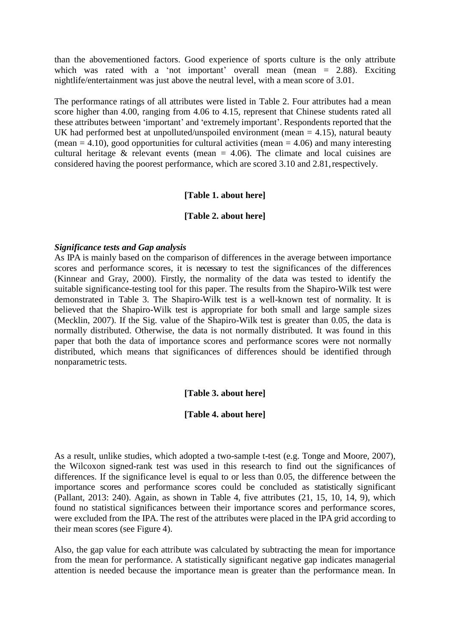than the abovementioned factors. Good experience of sports culture is the only attribute which was rated with a 'not important' overall mean (mean = 2.88). Exciting nightlife/entertainment was just above the neutral level, with a mean score of 3.01.

The performance ratings of all attributes were listed in Table 2. Four attributes had a mean score higher than 4.00, ranging from 4.06 to 4.15, represent that Chinese students rated all these attributes between 'important' and 'extremely important'. Respondents reported that the UK had performed best at unpolluted/unspoiled environment (mean  $=$  4.15), natural beauty (mean  $= 4.10$ ), good opportunities for cultural activities (mean  $= 4.06$ ) and many interesting cultural heritage  $\&$  relevant events (mean = 4.06). The climate and local cuisines are considered having the poorest performance, which are scored 3.10 and 2.81,respectively.

#### **[Table 1. about here]**

#### **[Table 2. about here]**

#### *Significance tests and Gap analysis*

As IPA is mainly based on the comparison of differences in the average between importance scores and performance scores, it is necessary to test the significances of the differences (Kinnear and Gray, 2000). Firstly, the normality of the data was tested to identify the suitable significance-testing tool for this paper. The results from the Shapiro-Wilk test were demonstrated in Table 3. The Shapiro-Wilk test is a well-known test of normality. It is believed that the Shapiro-Wilk test is appropriate for both small and large sample sizes (Mecklin, 2007). If the Sig. value of the Shapiro-Wilk test is greater than 0.05, the data is normally distributed. Otherwise, the data is not normally distributed. It was found in this paper that both the data of importance scores and performance scores were not normally distributed, which means that significances of differences should be identified through nonparametric tests.

# **[Table 3. about here]**

#### **[Table 4. about here]**

As a result, unlike studies, which adopted a two-sample t-test (e.g. Tonge and Moore, 2007), the Wilcoxon signed-rank test was used in this research to find out the significances of differences. If the significance level is equal to or less than 0.05, the difference between the importance scores and performance scores could be concluded as statistically significant (Pallant, 2013: 240). Again, as shown in Table 4, five attributes (21, 15, 10, 14, 9), which found no statistical significances between their importance scores and performance scores, were excluded from the IPA. The rest of the attributes were placed in the IPA grid according to their mean scores (see Figure 4).

Also, the gap value for each attribute was calculated by subtracting the mean for importance from the mean for performance. A statistically significant negative gap indicates managerial attention is needed because the importance mean is greater than the performance mean. In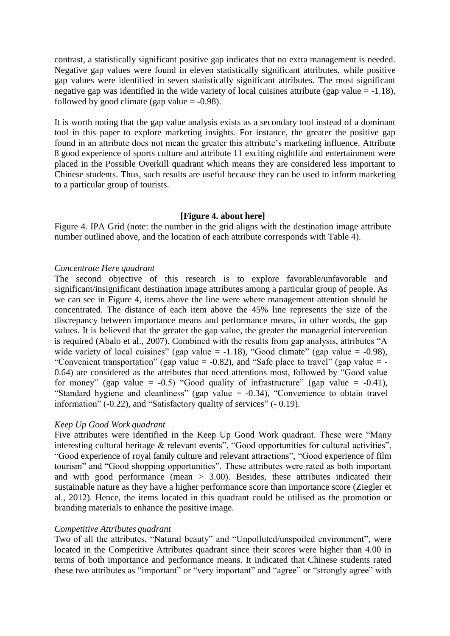contrast, a statistically significant positive gap indicates that no extra management is needed. Negative gap values were found in eleven statistically significant attributes, while positive gap values were identified in seven statistically significant attributes. The most significant negative gap was identified in the wide variety of local cuisines attribute (gap value  $= -1.18$ ), followed by good climate (gap value  $= -0.98$ ).

It is worth noting that the gap value analysis exists as a secondary tool instead of a dominant tool in this paper to explore marketing insights. For instance, the greater the positive gap found in an attribute does not mean the greater this attribute's marketing influence. Attribute 8 good experience of sports culture and attribute 11 exciting nightlife and entertainment were placed in the Possible Overkill quadrant which means they are considered less important to Chinese students. Thus, such results are useful because they can be used to inform marketing to a particular group of tourists.

#### **[Figure 4. about here]**

Figure 4. IPA Grid (note: the number in the grid aligns with the destination image attribute number outlined above, and the location of each attribute corresponds with Table 4).

#### *Concentrate Here quadrant*

The second objective of this research is to explore favorable/unfavorable and significant/insignificant destination image attributes among a particular group of people. As we can see in Figure 4, items above the line were where management attention should be concentrated. The distance of each item above the 45% line represents the size of the discrepancy between importance means and performance means, in other words, the gap values. It is believed that the greater the gap value, the greater the managerial intervention is required (Abalo et al., 2007). Combined with the results from gap analysis, attributes "A wide variety of local cuisines" (gap value = -1.18), "Good climate" (gap value = -0.98), "Convenient transportation" (gap value  $= -0.82$ ), and "Safe place to travel" (gap value  $= -$ 0.64) are considered as the attributes that need attentions most, followed by "Good value for money" (gap value =  $-0.5$ ) "Good quality of infrastructure" (gap value =  $-0.41$ ), "Standard hygiene and cleanliness" (gap value = -0.34), "Convenience to obtain travel information" (-0.22), and "Satisfactory quality of services" (- 0.19).

#### *Keep Up Good Work quadrant*

Five attributes were identified in the Keep Up Good Work quadrant. These were "Many interesting cultural heritage & relevant events", "Good opportunities for cultural activities", "Good experience of royal family culture and relevant attractions", "Good experience of film tourism" and "Good shopping opportunities". These attributes were rated as both important and with good performance (mean  $> 3.00$ ). Besides, these attributes indicated their sustainable nature as they have a higher performance score than importance score (Ziegler et al., 2012). Hence, the items located in this quadrant could be utilised as the promotion or branding materials to enhance the positive image.

#### *Competitive Attributes quadrant*

Two of all the attributes, "Natural beauty" and "Unpolluted/unspoiled environment", were located in the Competitive Attributes quadrant since their scores were higher than 4.00 in terms of both importance and performance means. It indicated that Chinese students rated these two attributes as "important" or "very important" and "agree" or "strongly agree" with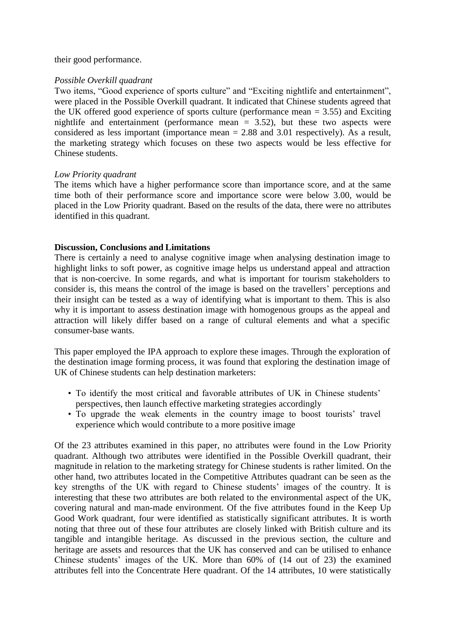their good performance.

# *Possible Overkill quadrant*

Two items, "Good experience of sports culture" and "Exciting nightlife and entertainment", were placed in the Possible Overkill quadrant. It indicated that Chinese students agreed that the UK offered good experience of sports culture (performance mean  $= 3.55$ ) and Exciting nightlife and entertainment (performance mean = 3.52), but these two aspects were considered as less important (importance mean = 2.88 and 3.01 respectively). As a result, the marketing strategy which focuses on these two aspects would be less effective for Chinese students.

# *Low Priority quadrant*

The items which have a higher performance score than importance score, and at the same time both of their performance score and importance score were below 3.00, would be placed in the Low Priority quadrant. Based on the results of the data, there were no attributes identified in this quadrant.

# **Discussion, Conclusions and Limitations**

There is certainly a need to analyse cognitive image when analysing destination image to highlight links to soft power, as cognitive image helps us understand appeal and attraction that is non-coercive. In some regards, and what is important for tourism stakeholders to consider is, this means the control of the image is based on the travellers' perceptions and their insight can be tested as a way of identifying what is important to them. This is also why it is important to assess destination image with homogenous groups as the appeal and attraction will likely differ based on a range of cultural elements and what a specific consumer-base wants.

This paper employed the IPA approach to explore these images. Through the exploration of the destination image forming process, it was found that exploring the destination image of UK of Chinese students can help destination marketers:

- To identify the most critical and favorable attributes of UK in Chinese students' perspectives, then launch effective marketing strategies accordingly
- To upgrade the weak elements in the country image to boost tourists' travel experience which would contribute to a more positive image

Of the 23 attributes examined in this paper, no attributes were found in the Low Priority quadrant. Although two attributes were identified in the Possible Overkill quadrant, their magnitude in relation to the marketing strategy for Chinese students is rather limited. On the other hand, two attributes located in the Competitive Attributes quadrant can be seen as the key strengths of the UK with regard to Chinese students' images of the country. It is interesting that these two attributes are both related to the environmental aspect of the UK, covering natural and man-made environment. Of the five attributes found in the Keep Up Good Work quadrant, four were identified as statistically significant attributes. It is worth noting that three out of these four attributes are closely linked with British culture and its tangible and intangible heritage. As discussed in the previous section, the culture and heritage are assets and resources that the UK has conserved and can be utilised to enhance Chinese students' images of the UK. More than 60% of (14 out of 23) the examined attributes fell into the Concentrate Here quadrant. Of the 14 attributes, 10 were statistically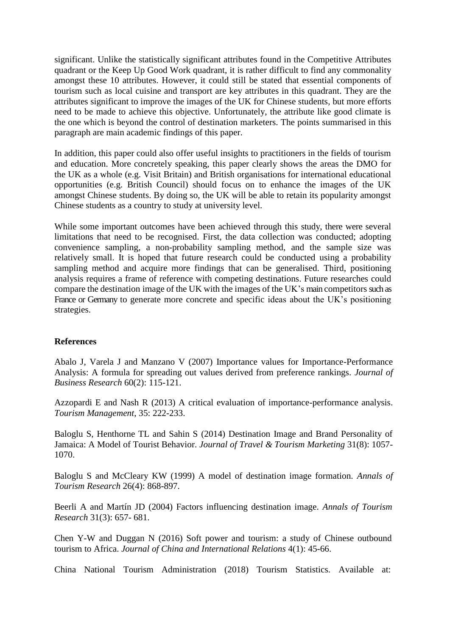significant. Unlike the statistically significant attributes found in the Competitive Attributes quadrant or the Keep Up Good Work quadrant, it is rather difficult to find any commonality amongst these 10 attributes. However, it could still be stated that essential components of tourism such as local cuisine and transport are key attributes in this quadrant. They are the attributes significant to improve the images of the UK for Chinese students, but more efforts need to be made to achieve this objective. Unfortunately, the attribute like good climate is the one which is beyond the control of destination marketers. The points summarised in this paragraph are main academic findings of this paper.

In addition, this paper could also offer useful insights to practitioners in the fields of tourism and education. More concretely speaking, this paper clearly shows the areas the DMO for the UK as a whole (e.g. Visit Britain) and British organisations for international educational opportunities (e.g. British Council) should focus on to enhance the images of the UK amongst Chinese students. By doing so, the UK will be able to retain its popularity amongst Chinese students as a country to study at university level.

While some important outcomes have been achieved through this study, there were several limitations that need to be recognised. First, the data collection was conducted; adopting convenience sampling, a non-probability sampling method, and the sample size was relatively small. It is hoped that future research could be conducted using a probability sampling method and acquire more findings that can be generalised. Third, positioning analysis requires a frame of reference with competing destinations. Future researches could compare the destination image of the UK with the images of the UK's main competitors such as France or Germany to generate more concrete and specific ideas about the UK's positioning strategies.

# **References**

Abalo J, Varela J and Manzano V (2007) Importance values for Importance-Performance Analysis: A formula for spreading out values derived from preference rankings. *Journal of Business Research* 60(2): 115-121.

Azzopardi E and Nash R (2013) A critical evaluation of importance-performance analysis. *Tourism Management*, 35: 222-233.

Baloglu S, Henthorne TL and Sahin S (2014) Destination Image and Brand Personality of Jamaica: A Model of Tourist Behavior. *Journal of Travel & Tourism Marketing* 31(8): 1057- 1070.

Baloglu S and McCleary KW (1999) A model of destination image formation. *Annals of Tourism Research* 26(4): 868-897.

Beerli A and Martín JD (2004) Factors influencing destination image. *Annals of Tourism Research* 31(3): 657- 681.

Chen Y-W and Duggan N (2016) Soft power and tourism: a study of Chinese outbound tourism to Africa. *Journal of China and International Relations* 4(1): 45-66.

China National Tourism Administration (2018) Tourism Statistics. Available at[:](http://en.cnta.gov.cn/Statistics/TourismStatistics/201710/t20171013_842558.shtml)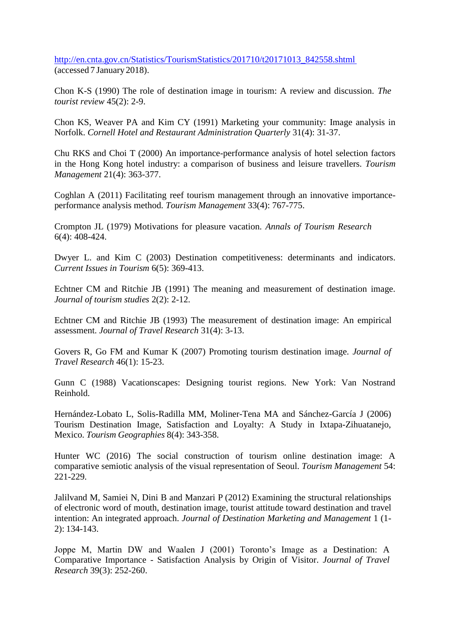[http://en.cnta.gov.cn/Statistics/TourismStatistics/201710/t20171013\\_842558.shtml](http://en.cnta.gov.cn/Statistics/TourismStatistics/201710/t20171013_842558.shtml) (accessed 7 January 2018).

Chon K-S (1990) The role of destination image in tourism: A review and discussion. *The tourist review* 45(2): 2-9.

Chon KS, Weaver PA and Kim CY (1991) Marketing your community: Image analysis in Norfolk. *Cornell Hotel and Restaurant Administration Quarterly* 31(4): 31-37.

Chu RKS and Choi T (2000) An importance-performance analysis of hotel selection factors in the Hong Kong hotel industry: a comparison of business and leisure travellers. *Tourism Management* 21(4): 363-377.

Coghlan A (2011) Facilitating reef tourism management through an innovative importanceperformance analysis method. *Tourism Management* 33(4): 767-775.

Crompton JL (1979) Motivations for pleasure vacation. *Annals of Tourism Research* 6(4): 408-424.

Dwyer L. and Kim C (2003) Destination competitiveness: determinants and indicators. *Current Issues in Tourism* 6(5): 369-413.

Echtner CM and Ritchie JB (1991) The meaning and measurement of destination image. *Journal of tourism studies* 2(2): 2-12.

Echtner CM and Ritchie JB (1993) The measurement of destination image: An empirical assessment. *Journal of Travel Research* 31(4): 3-13.

Govers R, Go FM and Kumar K (2007) Promoting tourism destination image. *Journal of Travel Research* 46(1): 15-23.

Gunn C (1988) Vacationscapes: Designing tourist regions. New York: Van Nostrand Reinhold.

Hernández-Lobato L, Solis-Radilla MM, Moliner-Tena MA and Sánchez-García J (2006) Tourism Destination Image, Satisfaction and Loyalty: A Study in Ixtapa-Zihuatanejo, Mexico. *Tourism Geographies* 8(4): 343-358.

Hunter WC (2016) The social construction of tourism online destination image: A comparative semiotic analysis of the visual representation of Seoul. *Tourism Management* 54: 221-229.

Jalilvand M, Samiei N, Dini B and Manzari P (2012) Examining the structural relationships of electronic word of mouth, destination image, tourist attitude toward destination and travel intention: An integrated approach. *Journal of Destination Marketing and Management* 1 (1- 2): 134-143.

Joppe M, Martin DW and Waalen J (2001) Toronto's Image as a Destination: A Comparative Importance - Satisfaction Analysis by Origin of Visitor. *Journal of Travel Research* 39(3): 252-260.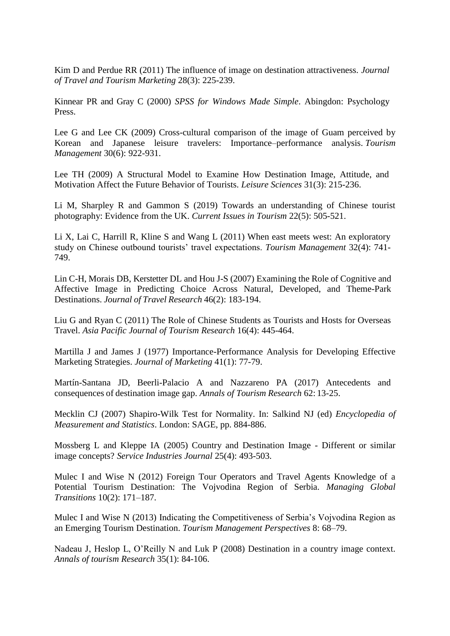Kim D and Perdue RR (2011) The influence of image on destination attractiveness. *Journal of Travel and Tourism Marketing* 28(3): 225-239.

Kinnear PR and Gray C (2000) *SPSS for Windows Made Simple*. Abingdon: Psychology Press.

Lee G and Lee CK (2009) Cross-cultural comparison of the image of Guam perceived by Korean and Japanese leisure travelers: Importance–performance analysis. *Tourism Management* 30(6): 922-931.

Lee TH (2009) A Structural Model to Examine How Destination Image, Attitude, and Motivation Affect the Future Behavior of Tourists. *Leisure Sciences* 31(3): 215-236.

Li M, Sharpley R and Gammon S (2019) Towards an understanding of Chinese tourist photography: Evidence from the UK. *Current Issues in Tourism* 22(5): 505-521.

Li X, Lai C, Harrill R, Kline S and Wang L (2011) When east meets west: An exploratory study on Chinese outbound tourists' travel expectations. *Tourism Management* 32(4): 741- 749.

Lin C-H, Morais DB, Kerstetter DL and Hou J-S (2007) Examining the Role of Cognitive and Affective Image in Predicting Choice Across Natural, Developed, and Theme-Park Destinations. *Journal of Travel Research* 46(2): 183-194.

Liu G and Ryan C (2011) The Role of Chinese Students as Tourists and Hosts for Overseas Travel. *Asia Pacific Journal of Tourism Research* 16(4): 445-464.

Martilla J and James J (1977) Importance-Performance Analysis for Developing Effective Marketing Strategies. *Journal of Marketing* 41(1): 77-79.

Martín-Santana JD, Beerli-Palacio A and Nazzareno PA (2017) Antecedents and consequences of destination image gap. *Annals of Tourism Research* 62: 13-25.

Mecklin CJ (2007) Shapiro-Wilk Test for Normality. In: Salkind NJ (ed) *Encyclopedia of Measurement and Statistics*. London: SAGE, pp. 884-886.

Mossberg L and Kleppe IA (2005) Country and Destination Image - Different or similar image concepts? *Service Industries Journal* 25(4): 493-503.

Mulec I and Wise N (2012) Foreign Tour Operators and Travel Agents Knowledge of a Potential Tourism Destination: The Vojvodina Region of Serbia. *Managing Global Transitions* 10(2): 171–187.

Mulec I and Wise N (2013) Indicating the Competitiveness of Serbia's Vojvodina Region as an Emerging Tourism Destination. *Tourism Management Perspectives* 8: 68–79.

Nadeau J, Heslop L, O'Reilly N and Luk P (2008) Destination in a country image context. *Annals of tourism Research* 35(1): 84-106.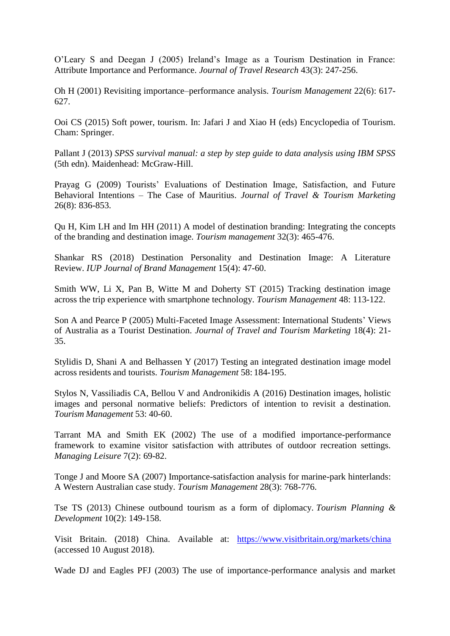O'Leary S and Deegan J (2005) Ireland's Image as a Tourism Destination in France: Attribute Importance and Performance. *Journal of Travel Research* 43(3): 247-256.

Oh H (2001) Revisiting importance–performance analysis. *Tourism Management* 22(6): 617- 627.

Ooi CS (2015) Soft power, tourism. In: Jafari J and Xiao H (eds) Encyclopedia of Tourism. Cham: Springer.

Pallant J (2013) *SPSS survival manual: a step by step guide to data analysis using IBM SPSS* (5th edn). Maidenhead: McGraw-Hill.

Prayag G (2009) Tourists' Evaluations of Destination Image, Satisfaction, and Future Behavioral Intentions – The Case of Mauritius. *Journal of Travel & Tourism Marketing* 26(8): 836-853.

Qu H, Kim LH and Im HH (2011) A model of destination branding: Integrating the concepts of the branding and destination image. *Tourism management* 32(3): 465-476.

Shankar RS (2018) Destination Personality and Destination Image: A Literature Review. *IUP Journal of Brand Management* 15(4): 47-60.

Smith WW, Li X, Pan B, Witte M and Doherty ST (2015) Tracking destination image across the trip experience with smartphone technology. *Tourism Management* 48: 113-122.

Son A and Pearce P (2005) Multi-Faceted Image Assessment: International Students' Views of Australia as a Tourist Destination. *Journal of Travel and Tourism Marketing* 18(4): 21- 35.

Stylidis D, Shani A and Belhassen Y (2017) Testing an integrated destination image model across residents and tourists. *Tourism Management* 58: 184-195.

Stylos N, Vassiliadis CA, Bellou V and Andronikidis A (2016) Destination images, holistic images and personal normative beliefs: Predictors of intention to revisit a destination. *Tourism Management* 53: 40-60.

Tarrant MA and Smith EK (2002) The use of a modified importance-performance framework to examine visitor satisfaction with attributes of outdoor recreation settings. *Managing Leisure* 7(2): 69-82.

Tonge J and Moore SA (2007) Importance-satisfaction analysis for marine-park hinterlands: A Western Australian case study. *Tourism Management* 28(3): 768-776.

Tse TS (2013) Chinese outbound tourism as a form of diplomacy. *Tourism Planning & Development* 10(2): 149-158.

Visit Britain. (2018) China. Available at: <https://www.visitbritain.org/markets/china> (accessed 10 August 2018).

Wade DJ and Eagles PFJ (2003) The use of importance-performance analysis and market